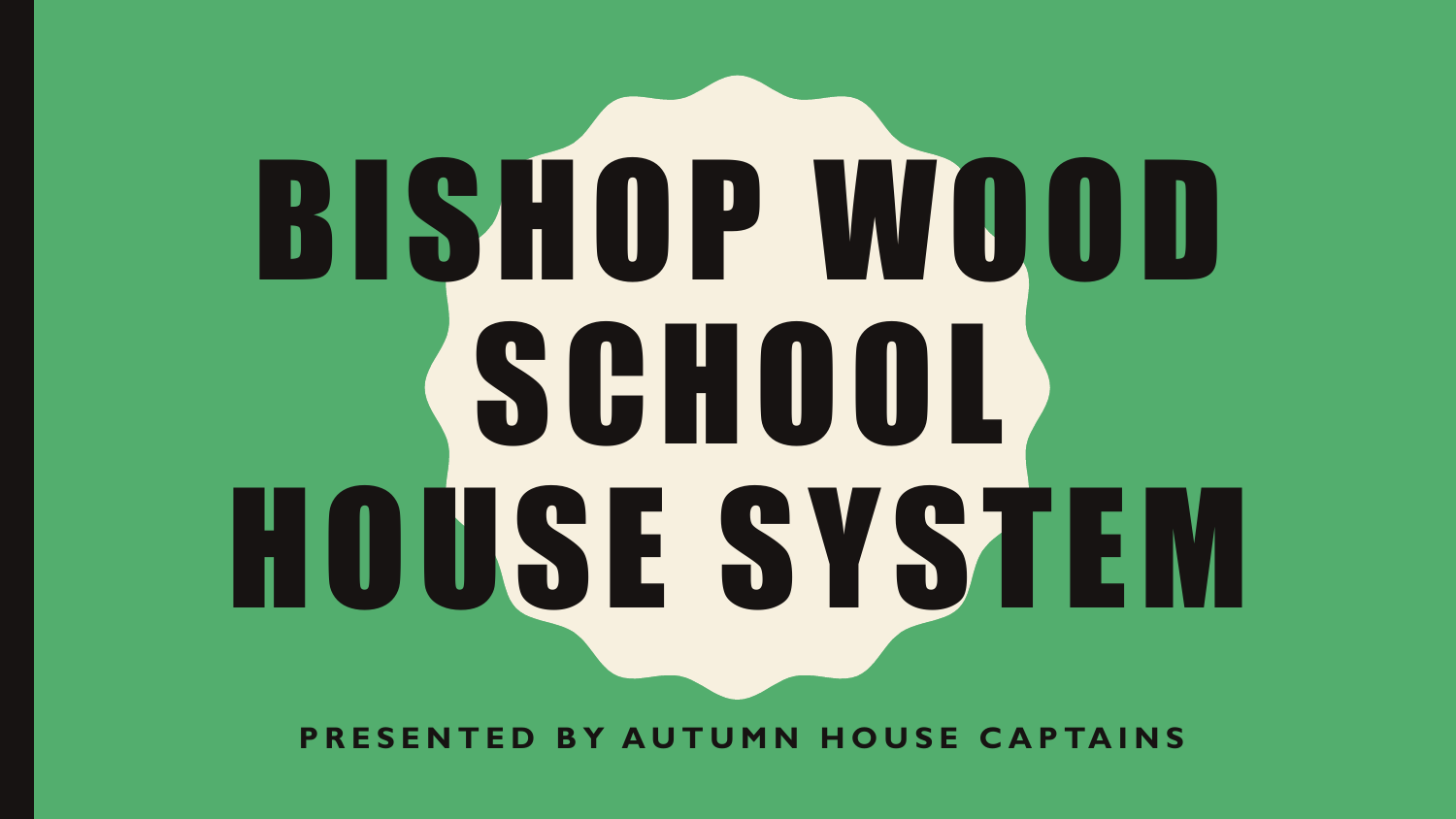# BISHOP WOOD SCHOOL HOUSE SYSTEM

**PRESENTED BY AUTUMN HOUSE CAPTAINS**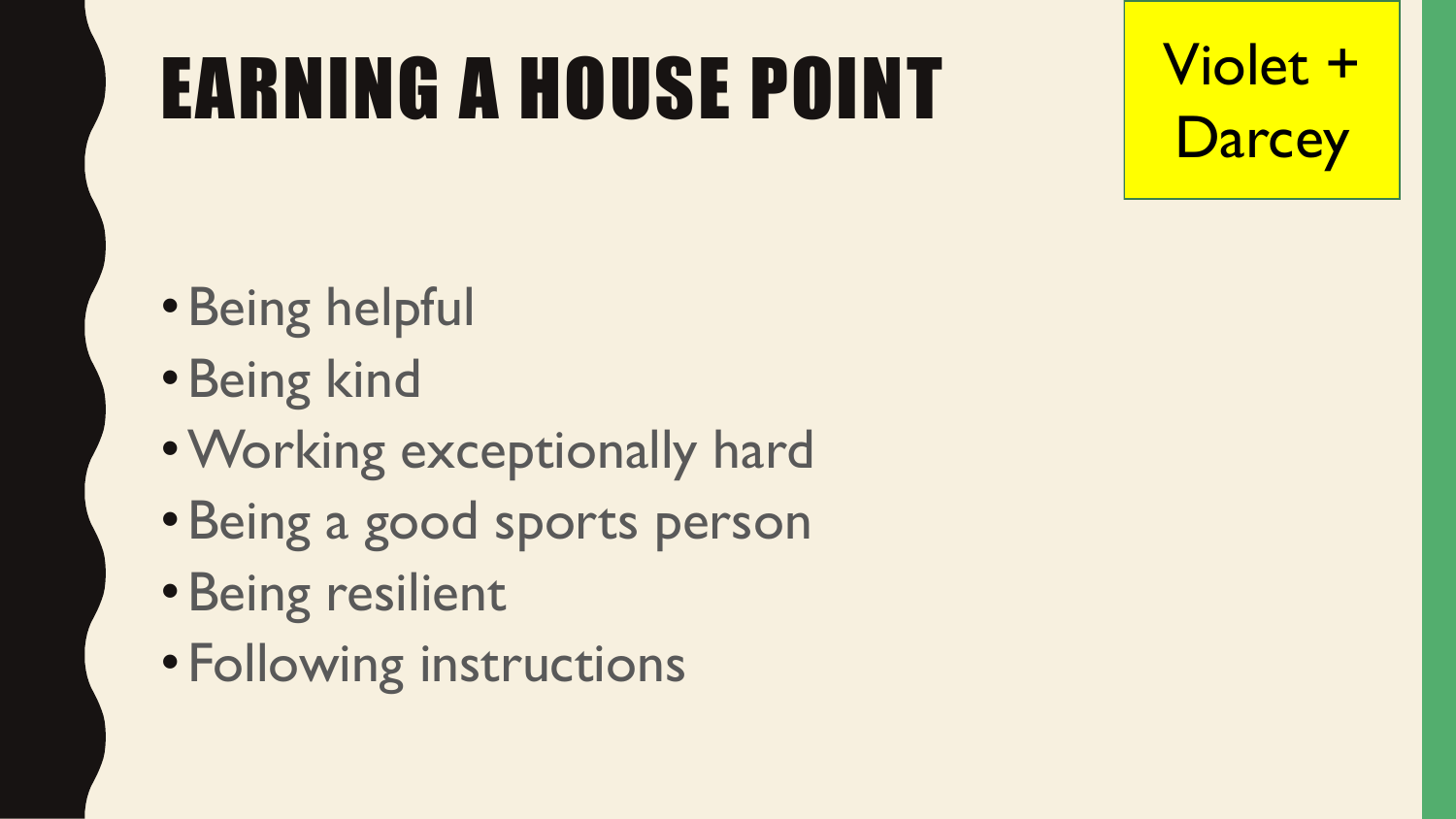#### EARNING A HOUSE POINT

Violet + **Darcey** 

- •Being helpful
- •Being kind
- •Working exceptionally hard
- •Being a good sports person
- •Being resilient
- Following instructions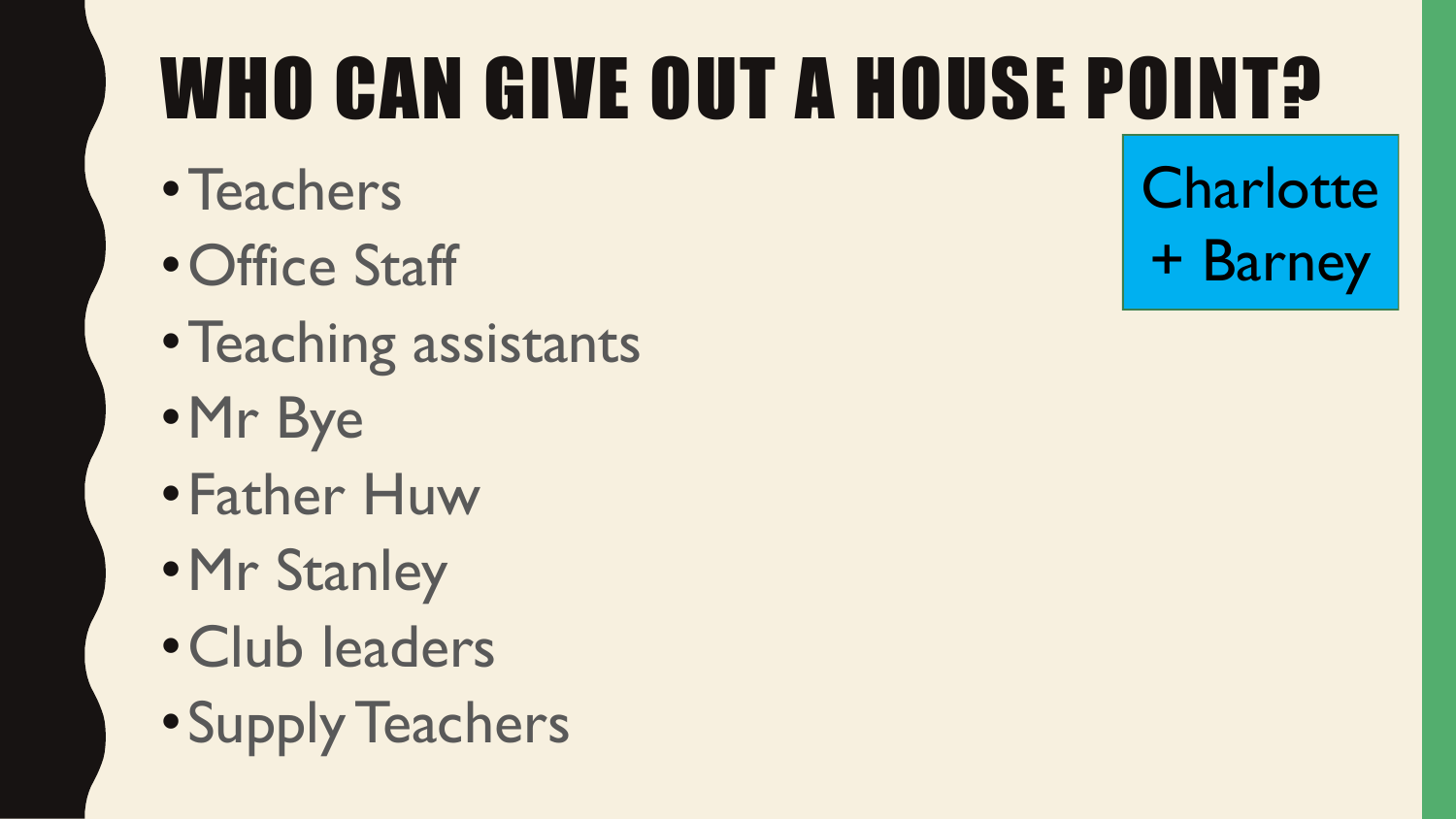## WHO CAN GIVE OUT A HOUSE POINT?

- •Teachers
- •Office Staff
- •Teaching assistants
- •Mr Bye
- •Father Huw
- •Mr Stanley
- •Club leaders
- •Supply Teachers

**Charlotte** + Barney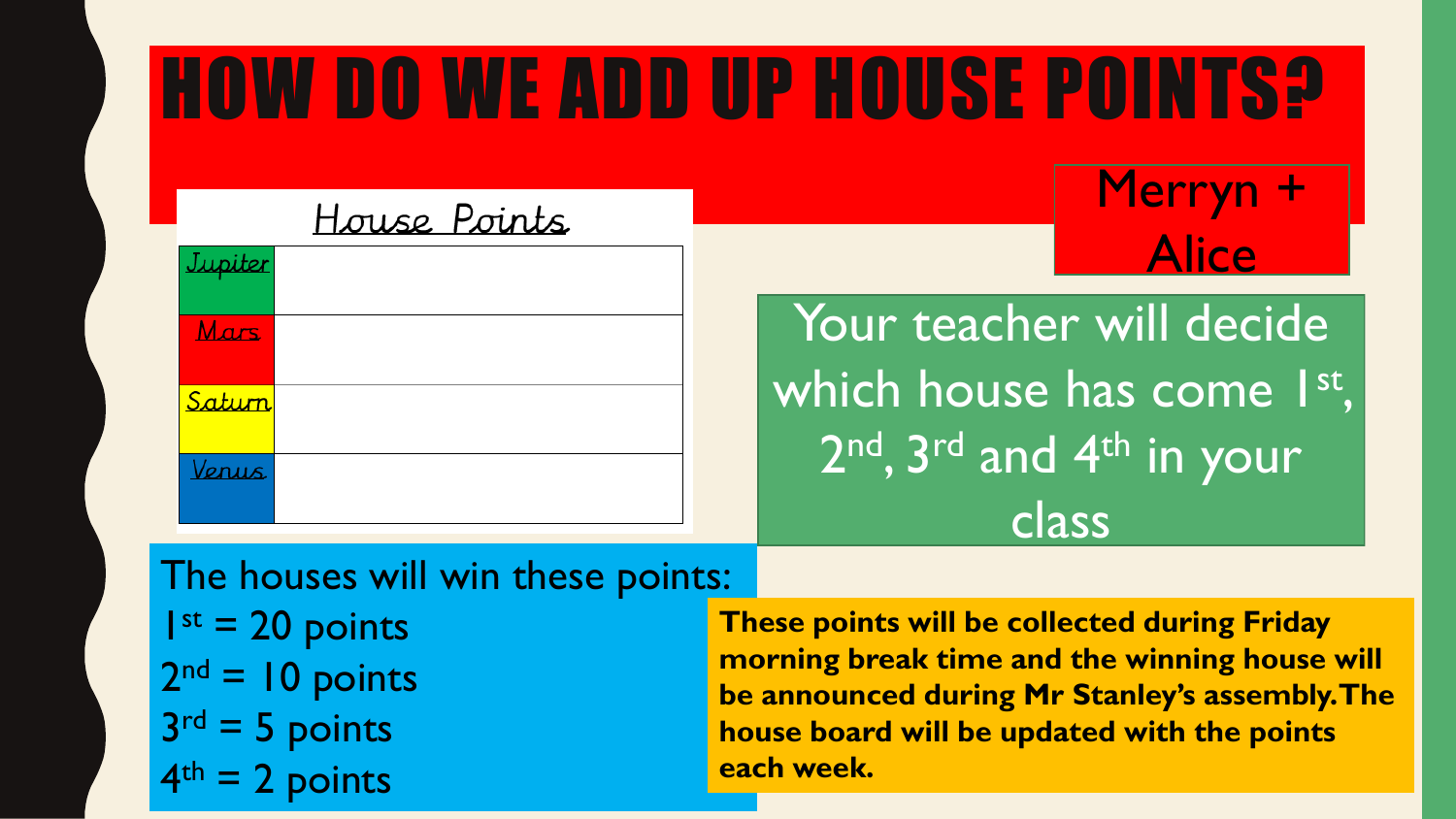#### HOW DO WE ADD UP HOUSE POINTS?

#### House Points

| Jupiter |  |
|---------|--|
| Mars    |  |
| Saturn  |  |
| Venus   |  |

#### **Merryn** Alice

Your teacher will decide which house has come 1st, 2<sup>nd</sup>, 3<sup>rd</sup> and 4<sup>th</sup> in your class

The houses will win these points:  $I^{st} = 20$  points  $2<sup>nd</sup> = 10$  points  $3<sup>rd</sup> = 5$  points 4 2 points

**These points will be collected during Friday morning break time and the winning house will be announced during Mr Stanley's assembly. The house board will be updated with the points each week.**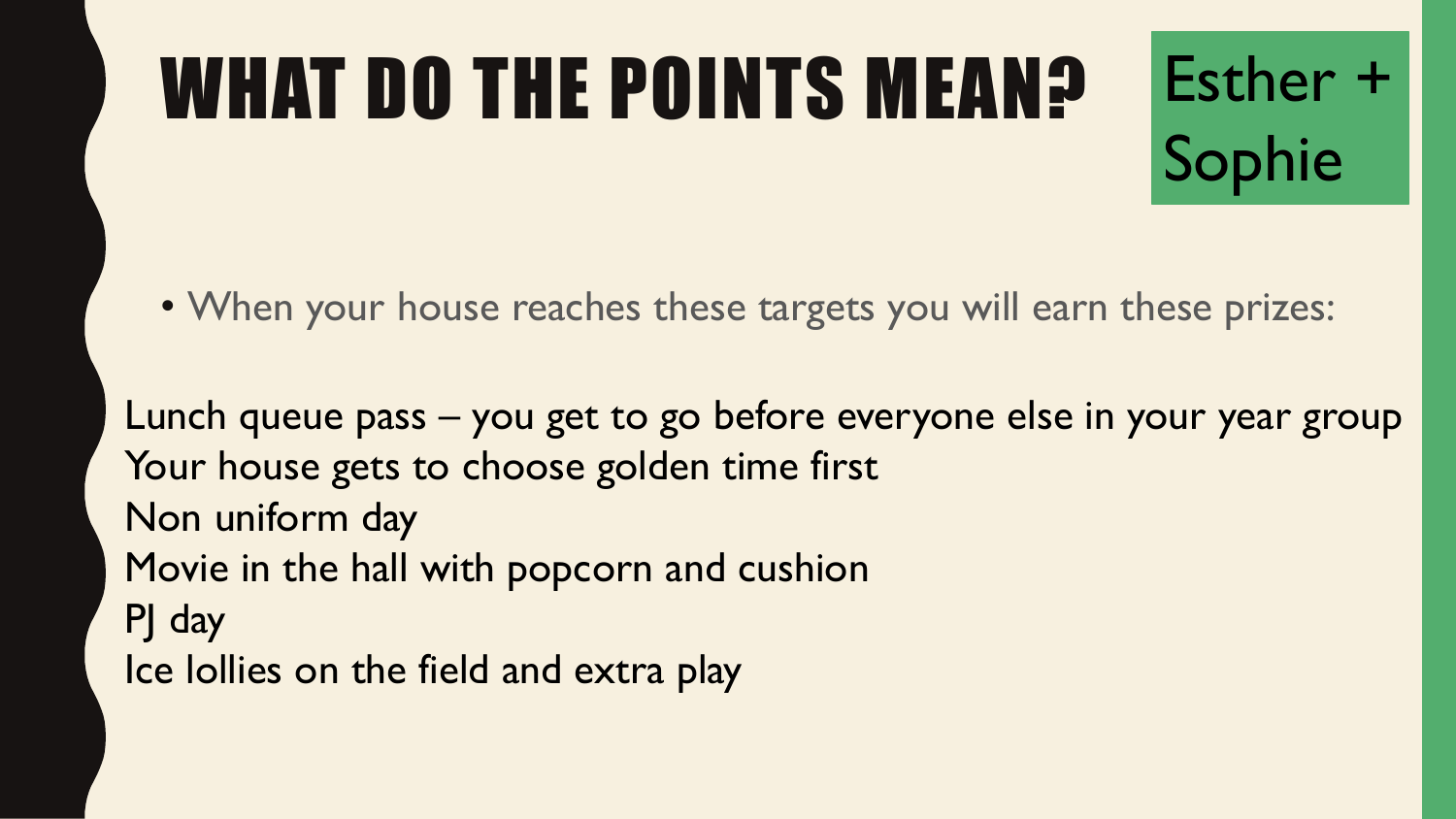# WHAT DO THE POINTS MEAN?

• When your house reaches these targets you will earn these prizes:

Esther +

Sophie

Lunch queue pass – you get to go before everyone else in your year group Your house gets to choose golden time first Non uniform day Movie in the hall with popcorn and cushion PJ day Ice lollies on the field and extra play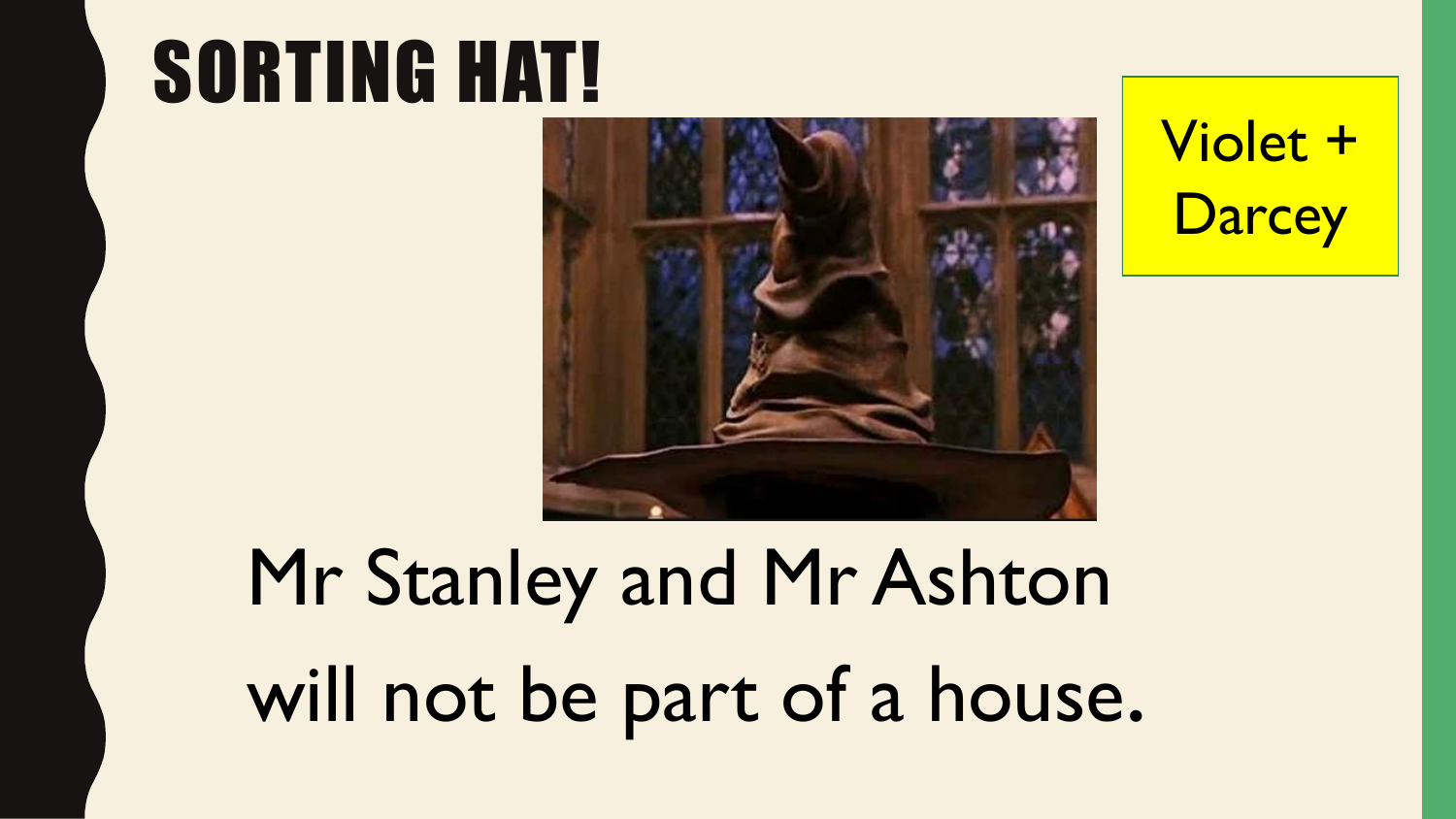#### SORTING HAT!



Violet + **Darcey** 

### Mr Stanley and Mr Ashton will not be part of a house.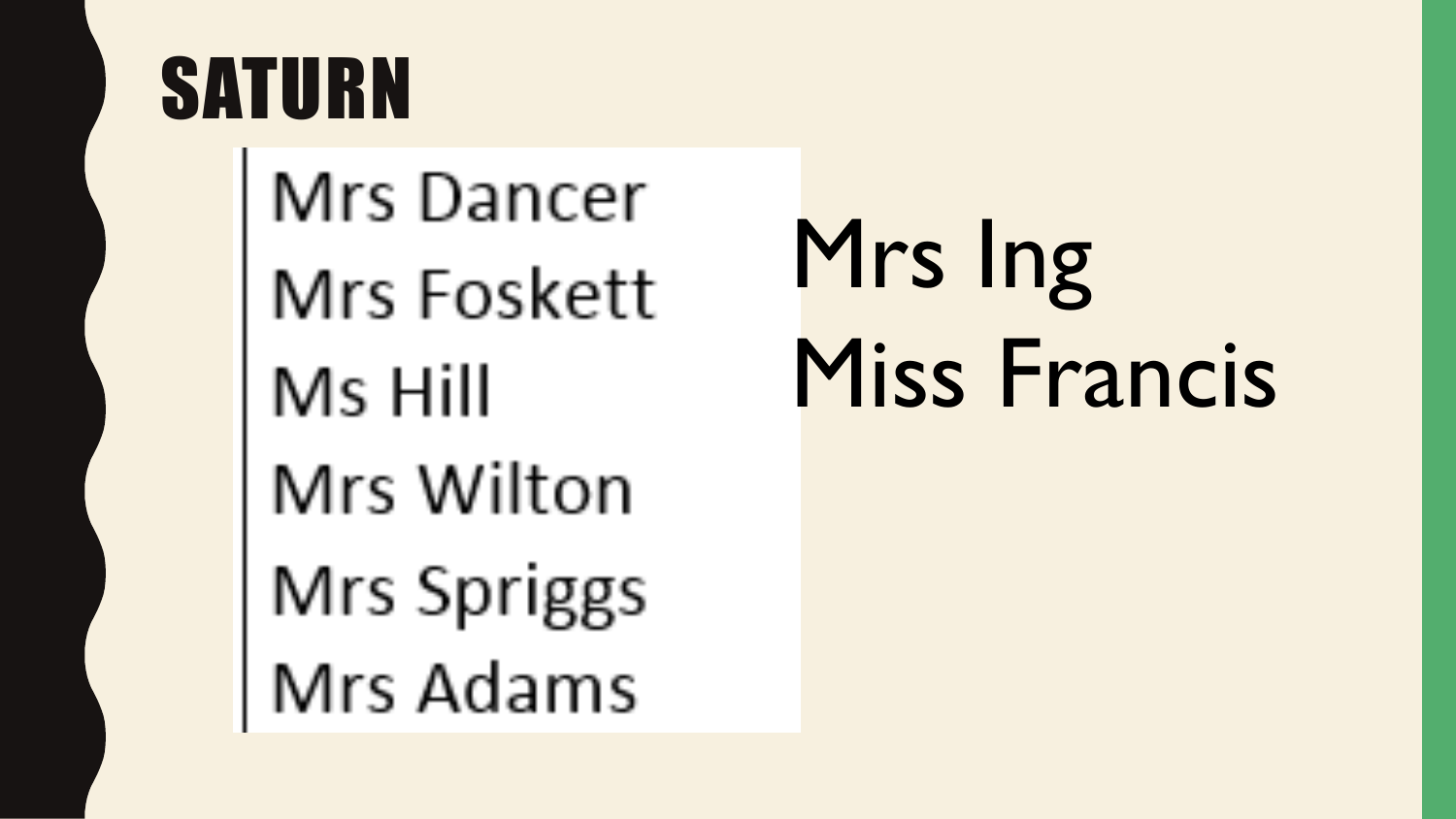#### SATURN

Mrs Dancer Mrs Foskett Ms Hill Mrs Wilton Mrs Spriggs Mrs Adams

Mrs Ing Miss Francis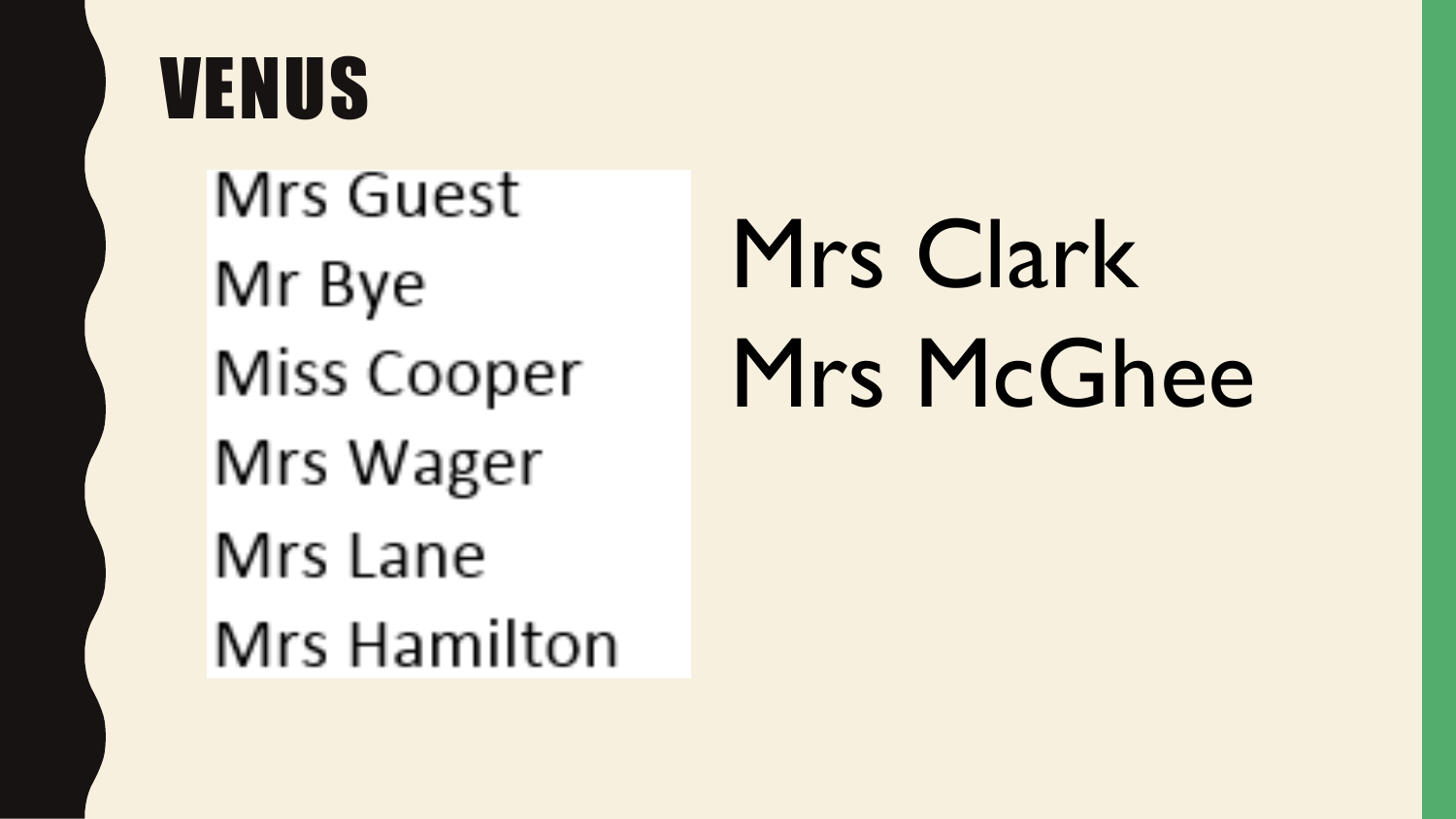#### VENUS

**Mrs Guest** Mr Bye Miss Cooper Mrs Wager Mrs Lane Mrs Hamilton

## Mrs Clark Mrs McGhee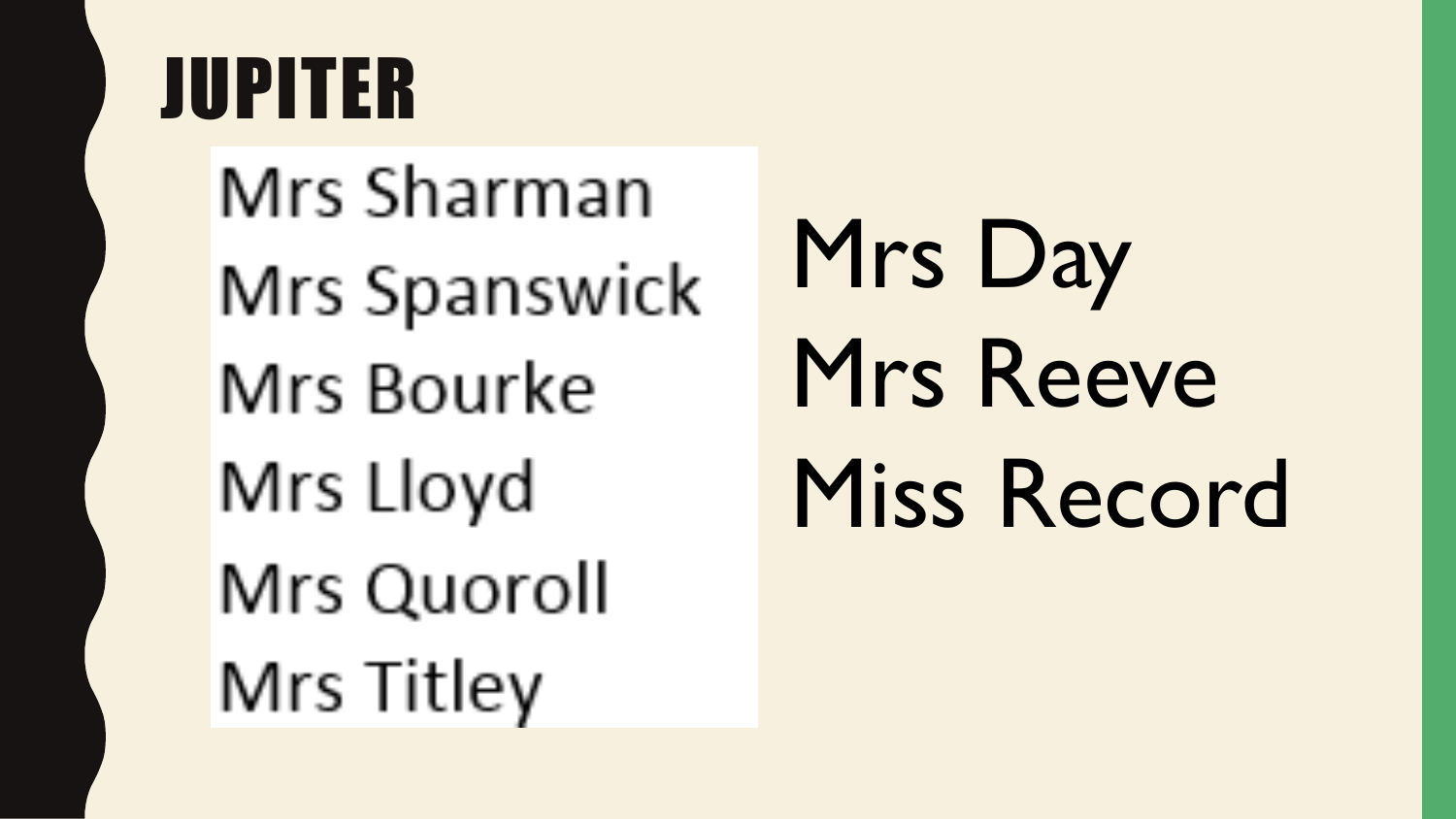#### JUPITER

Mrs Sharman Mrs Spanswick Mrs Bourke Mrs Lloyd Mrs Quoroll Mrs Titley

Mrs Day Mrs Reeve Miss Record